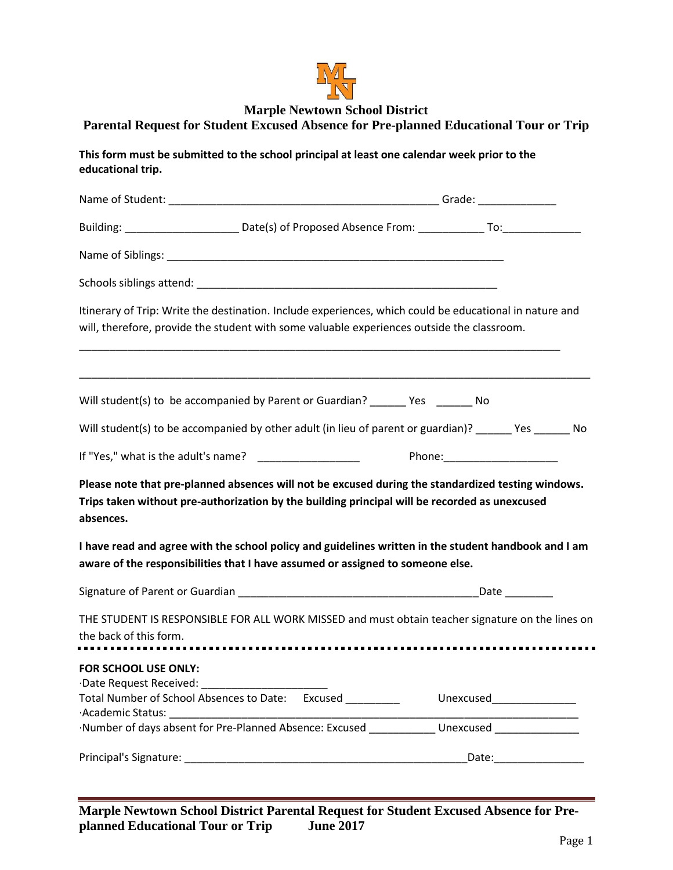

## **Marple Newtown School District**

## **Parental Request for Student Excused Absence for Pre-planned Educational Tour or Trip**

**This form must be submitted to the school principal at least one calendar week prior to the educational trip.**

|                                                                                                                                                                                        | Itinerary of Trip: Write the destination. Include experiences, which could be educational in nature and<br>will, therefore, provide the student with some valuable experiences outside the classroom. |                            |  |
|----------------------------------------------------------------------------------------------------------------------------------------------------------------------------------------|-------------------------------------------------------------------------------------------------------------------------------------------------------------------------------------------------------|----------------------------|--|
|                                                                                                                                                                                        | Will student(s) to be accompanied by Parent or Guardian? _______ Yes _______ No                                                                                                                       |                            |  |
|                                                                                                                                                                                        | Will student(s) to be accompanied by other adult (in lieu of parent or guardian)? _______ Yes _______ No                                                                                              |                            |  |
|                                                                                                                                                                                        |                                                                                                                                                                                                       |                            |  |
| absences.                                                                                                                                                                              | Please note that pre-planned absences will not be excused during the standardized testing windows.<br>Trips taken without pre-authorization by the building principal will be recorded as unexcused   |                            |  |
| I have read and agree with the school policy and guidelines written in the student handbook and I am<br>aware of the responsibilities that I have assumed or assigned to someone else. |                                                                                                                                                                                                       |                            |  |
|                                                                                                                                                                                        |                                                                                                                                                                                                       |                            |  |
| THE STUDENT IS RESPONSIBLE FOR ALL WORK MISSED and must obtain teacher signature on the lines on<br>the back of this form.                                                             |                                                                                                                                                                                                       |                            |  |
| <b>FOR SCHOOL USE ONLY:</b>                                                                                                                                                            |                                                                                                                                                                                                       |                            |  |
|                                                                                                                                                                                        | Total Number of School Absences to Date: Excused _________                                                                                                                                            | Unexcused_________________ |  |
|                                                                                                                                                                                        | Number of days absent for Pre-Planned Absence: Excused _____________ Unexcused _______________                                                                                                        |                            |  |
|                                                                                                                                                                                        |                                                                                                                                                                                                       | Date: Date:                |  |